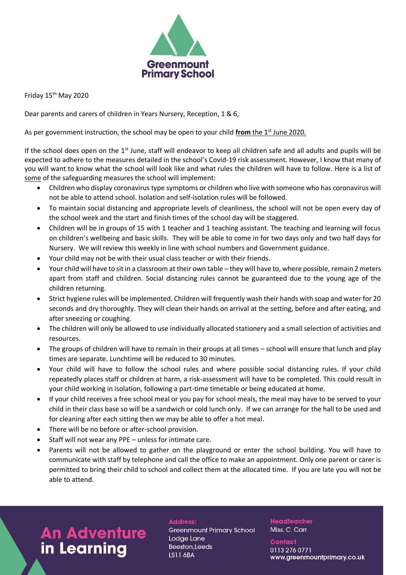

Friday 15<sup>th</sup> May 2020

Dear parents and carers of children in Years Nursery, Reception, 1 & 6,

As per government instruction, the school may be open to your child from the 1<sup>st</sup> June 2020.

If the school does open on the  $1<sup>st</sup>$  June, staff will endeavor to keep all children safe and all adults and pupils will be expected to adhere to the measures detailed in the school's Covid-19 risk assessment. However, I know that many of you will want to know what the school will look like and what rules the children will have to follow. Here is a list of some of the safeguarding measures the school will implement:

- Children who display coronavirus type symptoms or children who live with someone who has coronavirus will not be able to attend school. Isolation and self-isolation rules will be followed.
- To maintain social distancing and appropriate levels of cleanliness, the school will not be open every day of the school week and the start and finish times of the school day will be staggered.
- Children will be in groups of 15 with 1 teacher and 1 teaching assistant. The teaching and learning will focus on children's wellbeing and basic skills. They will be able to come in for two days only and two half days for Nursery. We will review this weekly in line with school numbers and Government guidance.
- Your child may not be with their usual class teacher or with their friends.
- Your child will have to sit in a classroom at their own table they will have to, where possible, remain 2 meters apart from staff and children. Social distancing rules cannot be guaranteed due to the young age of the children returning.
- Strict hygiene rules will be implemented. Children will frequently wash their hands with soap and water for 20 seconds and dry thoroughly. They will clean their hands on arrival at the setting, before and after eating, and after sneezing or coughing.
- The children will only be allowed to use individually allocated stationery and a small selection of activities and resources.
- The groups of children will have to remain in their groups at all times school will ensure that lunch and play times are separate. Lunchtime will be reduced to 30 minutes.
- Your child will have to follow the school rules and where possible social distancing rules. If your child repeatedly places staff or children at harm, a risk-assessment will have to be completed. This could result in your child working in isolation, following a part-time timetable or being educated at home.
- If your child receives a free school meal or you pay for school meals, the meal may have to be served to your child in their class base so will be a sandwich or cold lunch only. If we can arrange for the hall to be used and for cleaning after each sitting then we may be able to offer a hot meal.
- There will be no before or after-school provision.
- Staff will not wear any PPE unless for intimate care.
- Parents will not be allowed to gather on the playground or enter the school building. You will have to communicate with staff by telephone and call the office to make an appointment. Only one parent or carer is permitted to bring their child to school and collect them at the allocated time. If you are late you will not be able to attend.

## **An Adventure** in Learning

## **Address:**

**Greenmount Primary School** Lodge Lane Beeston, Leeds **LS11 6BA** 

**Headteacher** Miss. C. Carr

**Contact** 0113 276 0771 www.greenmountprimary.co.uk